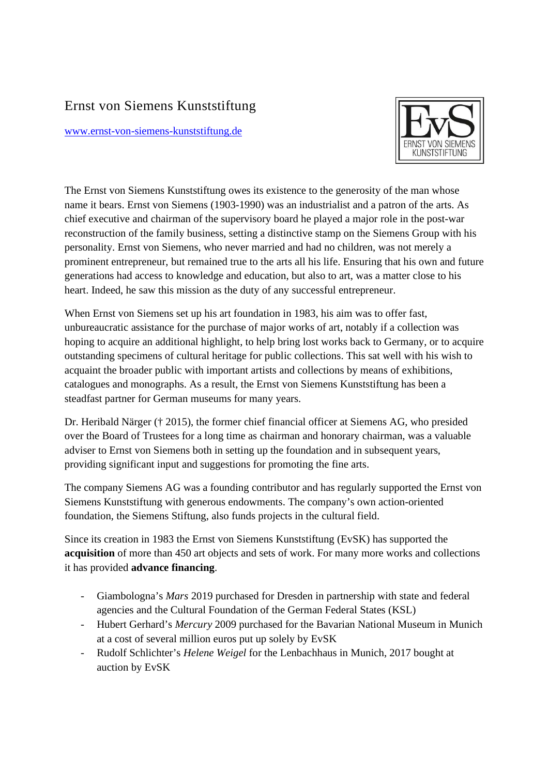## Ernst von Siemens Kunststiftung

www.ernst-von-siemens-kunststiftung.de



The Ernst von Siemens Kunststiftung owes its existence to the generosity of the man whose name it bears. Ernst von Siemens (1903-1990) was an industrialist and a patron of the arts. As chief executive and chairman of the supervisory board he played a major role in the post-war reconstruction of the family business, setting a distinctive stamp on the Siemens Group with his personality. Ernst von Siemens, who never married and had no children, was not merely a prominent entrepreneur, but remained true to the arts all his life. Ensuring that his own and future generations had access to knowledge and education, but also to art, was a matter close to his heart. Indeed, he saw this mission as the duty of any successful entrepreneur.

When Ernst von Siemens set up his art foundation in 1983, his aim was to offer fast, unbureaucratic assistance for the purchase of major works of art, notably if a collection was hoping to acquire an additional highlight, to help bring lost works back to Germany, or to acquire outstanding specimens of cultural heritage for public collections. This sat well with his wish to acquaint the broader public with important artists and collections by means of exhibitions, catalogues and monographs. As a result, the Ernst von Siemens Kunststiftung has been a steadfast partner for German museums for many years.

Dr. Heribald Närger († 2015), the former chief financial officer at Siemens AG, who presided over the Board of Trustees for a long time as chairman and honorary chairman, was a valuable adviser to Ernst von Siemens both in setting up the foundation and in subsequent years, providing significant input and suggestions for promoting the fine arts.

The company Siemens AG was a founding contributor and has regularly supported the Ernst von Siemens Kunststiftung with generous endowments. The company's own action-oriented foundation, the Siemens Stiftung, also funds projects in the cultural field.

Since its creation in 1983 the Ernst von Siemens Kunststiftung (EvSK) has supported the **acquisition** of more than 450 art objects and sets of work. For many more works and collections it has provided **advance financing**.

- Giambologna's *Mars* 2019 purchased for Dresden in partnership with state and federal agencies and the Cultural Foundation of the German Federal States (KSL)
- Hubert Gerhard's *Mercury* 2009 purchased for the Bavarian National Museum in Munich at a cost of several million euros put up solely by EvSK
- Rudolf Schlichter's *Helene Weigel* for the Lenbachhaus in Munich, 2017 bought at auction by EvSK